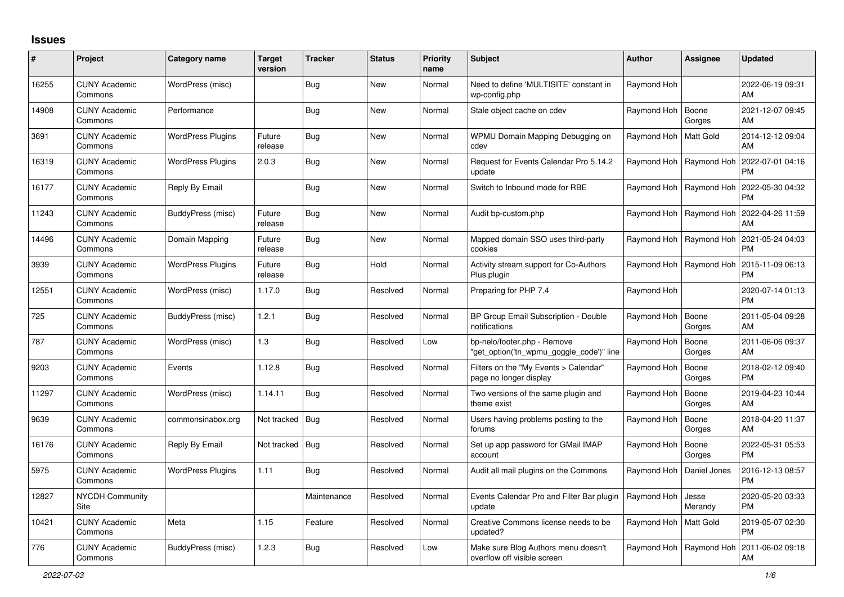## **Issues**

| #     | Project                         | Category name            | <b>Target</b><br>version | <b>Tracker</b> | <b>Status</b> | <b>Priority</b><br>name | <b>Subject</b>                                                          | <b>Author</b>           | Assignee         | <b>Updated</b>                |
|-------|---------------------------------|--------------------------|--------------------------|----------------|---------------|-------------------------|-------------------------------------------------------------------------|-------------------------|------------------|-------------------------------|
| 16255 | <b>CUNY Academic</b><br>Commons | WordPress (misc)         |                          | <b>Bug</b>     | <b>New</b>    | Normal                  | Need to define 'MULTISITE' constant in<br>wp-config.php                 | Raymond Hoh             |                  | 2022-06-19 09:31<br>AM        |
| 14908 | <b>CUNY Academic</b><br>Commons | Performance              |                          | <b>Bug</b>     | <b>New</b>    | Normal                  | Stale object cache on cdev                                              | Raymond Hoh             | Boone<br>Gorges  | 2021-12-07 09:45<br>AM        |
| 3691  | <b>CUNY Academic</b><br>Commons | <b>WordPress Plugins</b> | Future<br>release        | <b>Bug</b>     | <b>New</b>    | Normal                  | WPMU Domain Mapping Debugging on<br>cdev                                | Raymond Hoh             | Matt Gold        | 2014-12-12 09:04<br>AM        |
| 16319 | <b>CUNY Academic</b><br>Commons | <b>WordPress Plugins</b> | 2.0.3                    | <b>Bug</b>     | <b>New</b>    | Normal                  | Request for Events Calendar Pro 5.14.2<br>update                        | Raymond Hoh             | Raymond Hoh      | 2022-07-01 04:16<br><b>PM</b> |
| 16177 | <b>CUNY Academic</b><br>Commons | Reply By Email           |                          | <b>Bug</b>     | <b>New</b>    | Normal                  | Switch to Inbound mode for RBE                                          | Raymond Hoh             | Raymond Hoh      | 2022-05-30 04:32<br><b>PM</b> |
| 11243 | <b>CUNY Academic</b><br>Commons | BuddyPress (misc)        | Future<br>release        | <b>Bug</b>     | <b>New</b>    | Normal                  | Audit bp-custom.php                                                     | Raymond Hoh             | Raymond Hoh      | 2022-04-26 11:59<br>AM        |
| 14496 | <b>CUNY Academic</b><br>Commons | Domain Mapping           | Future<br>release        | <b>Bug</b>     | <b>New</b>    | Normal                  | Mapped domain SSO uses third-party<br>cookies                           | Raymond Hoh             | Raymond Hoh      | 2021-05-24 04:03<br><b>PM</b> |
| 3939  | <b>CUNY Academic</b><br>Commons | <b>WordPress Plugins</b> | Future<br>release        | Bug            | Hold          | Normal                  | Activity stream support for Co-Authors<br>Plus plugin                   | Raymond Hoh             | Raymond Hoh      | 2015-11-09 06:13<br><b>PM</b> |
| 12551 | <b>CUNY Academic</b><br>Commons | WordPress (misc)         | 1.17.0                   | <b>Bug</b>     | Resolved      | Normal                  | Preparing for PHP 7.4                                                   | Raymond Hoh             |                  | 2020-07-14 01:13<br><b>PM</b> |
| 725   | <b>CUNY Academic</b><br>Commons | BuddyPress (misc)        | 1.2.1                    | <b>Bug</b>     | Resolved      | Normal                  | BP Group Email Subscription - Double<br>notifications                   | Raymond Hoh             | Boone<br>Gorges  | 2011-05-04 09:28<br>AM        |
| 787   | <b>CUNY Academic</b><br>Commons | WordPress (misc)         | 1.3                      | <b>Bug</b>     | Resolved      | Low                     | bp-nelo/footer.php - Remove<br>'get_option('tn_wpmu_goggle_code')" line | Raymond Hoh             | Boone<br>Gorges  | 2011-06-06 09:37<br>AM        |
| 9203  | <b>CUNY Academic</b><br>Commons | Events                   | 1.12.8                   | <b>Bug</b>     | Resolved      | Normal                  | Filters on the "My Events > Calendar"<br>page no longer display         | Raymond Hoh             | Boone<br>Gorges  | 2018-02-12 09:40<br><b>PM</b> |
| 11297 | <b>CUNY Academic</b><br>Commons | WordPress (misc)         | 1.14.11                  | <b>Bug</b>     | Resolved      | Normal                  | Two versions of the same plugin and<br>theme exist                      | Raymond Hoh             | Boone<br>Gorges  | 2019-04-23 10:44<br>AM        |
| 9639  | <b>CUNY Academic</b><br>Commons | commonsinabox.org        | Not tracked   Bug        |                | Resolved      | Normal                  | Users having problems posting to the<br>forums                          | Raymond Hoh             | Boone<br>Gorges  | 2018-04-20 11:37<br>AM        |
| 16176 | <b>CUNY Academic</b><br>Commons | Reply By Email           | Not tracked   Bug        |                | Resolved      | Normal                  | Set up app password for GMail IMAP<br>account                           | Raymond Hoh             | Boone<br>Gorges  | 2022-05-31 05:53<br><b>PM</b> |
| 5975  | <b>CUNY Academic</b><br>Commons | <b>WordPress Plugins</b> | 1.11                     | Bug            | Resolved      | Normal                  | Audit all mail plugins on the Commons                                   | Raymond Hoh             | Daniel Jones     | 2016-12-13 08:57<br><b>PM</b> |
| 12827 | NYCDH Community<br>Site         |                          |                          | Maintenance    | Resolved      | Normal                  | Events Calendar Pro and Filter Bar plugin<br>update                     | Raymond Hoh             | Jesse<br>Merandy | 2020-05-20 03:33<br><b>PM</b> |
| 10421 | <b>CUNY Academic</b><br>Commons | Meta                     | 1.15                     | Feature        | Resolved      | Normal                  | Creative Commons license needs to be<br>updated?                        | Raymond Hoh   Matt Gold |                  | 2019-05-07 02:30<br><b>PM</b> |
| 776   | <b>CUNY Academic</b><br>Commons | BuddyPress (misc)        | 1.2.3                    | Bug            | Resolved      | Low                     | Make sure Blog Authors menu doesn't<br>overflow off visible screen      | Raymond Hoh             | Raymond Hoh      | 2011-06-02 09:18<br>AM        |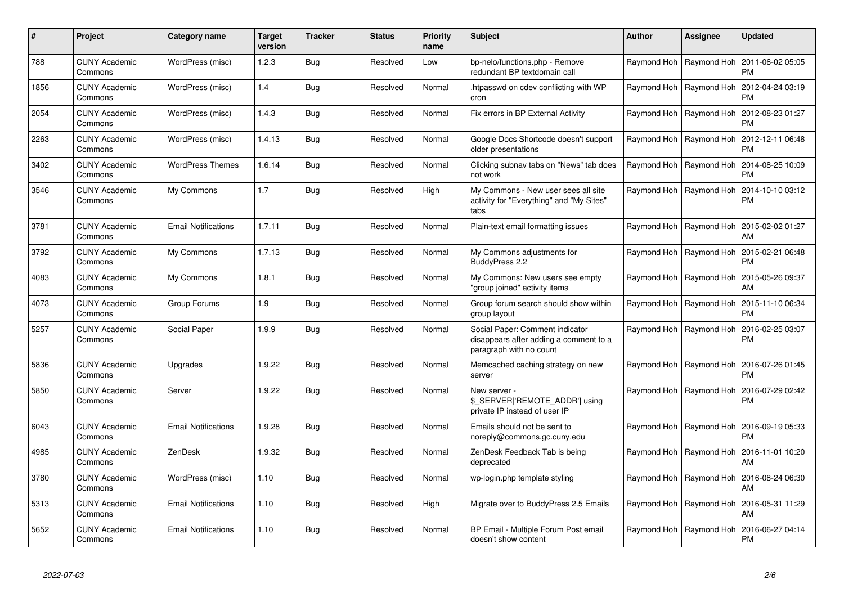| #    | Project                         | <b>Category name</b>       | <b>Target</b><br>version | <b>Tracker</b> | <b>Status</b> | <b>Priority</b><br>name | <b>Subject</b>                                                                                       | Author                    | Assignee                  | <b>Updated</b>                |
|------|---------------------------------|----------------------------|--------------------------|----------------|---------------|-------------------------|------------------------------------------------------------------------------------------------------|---------------------------|---------------------------|-------------------------------|
| 788  | <b>CUNY Academic</b><br>Commons | WordPress (misc)           | 1.2.3                    | Bug            | Resolved      | Low                     | bp-nelo/functions.php - Remove<br>redundant BP textdomain call                                       | Raymond Hoh   Raymond Hoh |                           | 2011-06-02 05:05<br><b>PM</b> |
| 1856 | <b>CUNY Academic</b><br>Commons | WordPress (misc)           | 1.4                      | Bug            | Resolved      | Normal                  | htpasswd on cdev conflicting with WP<br>cron                                                         | Raymond Hoh   Raymond Hoh |                           | 2012-04-24 03:19<br><b>PM</b> |
| 2054 | <b>CUNY Academic</b><br>Commons | WordPress (misc)           | 1.4.3                    | Bug            | Resolved      | Normal                  | Fix errors in BP External Activity                                                                   | Raymond Hoh               | Raymond Hoh               | 2012-08-23 01:27<br><b>PM</b> |
| 2263 | <b>CUNY Academic</b><br>Commons | WordPress (misc)           | 1.4.13                   | Bug            | Resolved      | Normal                  | Google Docs Shortcode doesn't support<br>older presentations                                         | Raymond Hoh   Raymond Hoh |                           | 2012-12-11 06:48<br><b>PM</b> |
| 3402 | <b>CUNY Academic</b><br>Commons | <b>WordPress Themes</b>    | 1.6.14                   | <b>Bug</b>     | Resolved      | Normal                  | Clicking subnav tabs on "News" tab does<br>not work                                                  | Raymond Hoh   Raymond Hoh |                           | 2014-08-25 10:09<br>PM        |
| 3546 | <b>CUNY Academic</b><br>Commons | My Commons                 | 1.7                      | Bug            | Resolved      | High                    | My Commons - New user sees all site<br>activity for "Everything" and "My Sites"<br>tabs              | Raymond Hoh   Raymond Hoh |                           | 2014-10-10 03:12<br><b>PM</b> |
| 3781 | <b>CUNY Academic</b><br>Commons | <b>Email Notifications</b> | 1.7.11                   | Bug            | Resolved      | Normal                  | Plain-text email formatting issues                                                                   |                           | Raymond Hoh   Raymond Hoh | 2015-02-02 01:27<br>AM        |
| 3792 | <b>CUNY Academic</b><br>Commons | My Commons                 | 1.7.13                   | Bug            | Resolved      | Normal                  | My Commons adjustments for<br>BuddyPress 2.2                                                         | Raymond Hoh   Raymond Hoh |                           | 2015-02-21 06:48<br><b>PM</b> |
| 4083 | <b>CUNY Academic</b><br>Commons | My Commons                 | 1.8.1                    | <b>Bug</b>     | Resolved      | Normal                  | My Commons: New users see empty<br>'group joined" activity items                                     |                           | Raymond Hoh   Raymond Hoh | 2015-05-26 09:37<br>AM        |
| 4073 | <b>CUNY Academic</b><br>Commons | Group Forums               | 1.9                      | Bug            | Resolved      | Normal                  | Group forum search should show within<br>group layout                                                | Raymond Hoh   Raymond Hoh |                           | 2015-11-10 06:34<br><b>PM</b> |
| 5257 | <b>CUNY Academic</b><br>Commons | Social Paper               | 1.9.9                    | Bug            | Resolved      | Normal                  | Social Paper: Comment indicator<br>disappears after adding a comment to a<br>paragraph with no count | Raymond Hoh   Raymond Hoh |                           | 2016-02-25 03:07<br><b>PM</b> |
| 5836 | <b>CUNY Academic</b><br>Commons | Upgrades                   | 1.9.22                   | Bug            | Resolved      | Normal                  | Memcached caching strategy on new<br>server                                                          | Raymond Hoh   Raymond Hoh |                           | 2016-07-26 01:45<br><b>PM</b> |
| 5850 | <b>CUNY Academic</b><br>Commons | Server                     | 1.9.22                   | Bug            | Resolved      | Normal                  | New server -<br>\$_SERVER['REMOTE_ADDR'] using<br>private IP instead of user IP                      | Raymond Hoh   Raymond Hoh |                           | 2016-07-29 02:42<br><b>PM</b> |
| 6043 | <b>CUNY Academic</b><br>Commons | <b>Email Notifications</b> | 1.9.28                   | Bug            | Resolved      | Normal                  | Emails should not be sent to<br>noreply@commons.gc.cuny.edu                                          |                           | Raymond Hoh   Raymond Hoh | 2016-09-19 05:33<br><b>PM</b> |
| 4985 | <b>CUNY Academic</b><br>Commons | ZenDesk                    | 1.9.32                   | <b>Bug</b>     | Resolved      | Normal                  | ZenDesk Feedback Tab is being<br>deprecated                                                          |                           | Raymond Hoh   Raymond Hoh | 2016-11-01 10:20<br>AM        |
| 3780 | <b>CUNY Academic</b><br>Commons | WordPress (misc)           | 1.10                     | Bug            | Resolved      | Normal                  | wp-login.php template styling                                                                        |                           | Raymond Hoh   Raymond Hoh | 2016-08-24 06:30<br>AM        |
| 5313 | <b>CUNY Academic</b><br>Commons | <b>Email Notifications</b> | 1.10                     | Bug            | Resolved      | High                    | Migrate over to BuddyPress 2.5 Emails                                                                | Raymond Hoh   Raymond Hoh |                           | 2016-05-31 11:29<br>AM        |
| 5652 | <b>CUNY Academic</b><br>Commons | <b>Email Notifications</b> | 1.10                     | Bug            | Resolved      | Normal                  | BP Email - Multiple Forum Post email<br>doesn't show content                                         | Raymond Hoh               | Raymond Hoh               | 2016-06-27 04:14<br><b>PM</b> |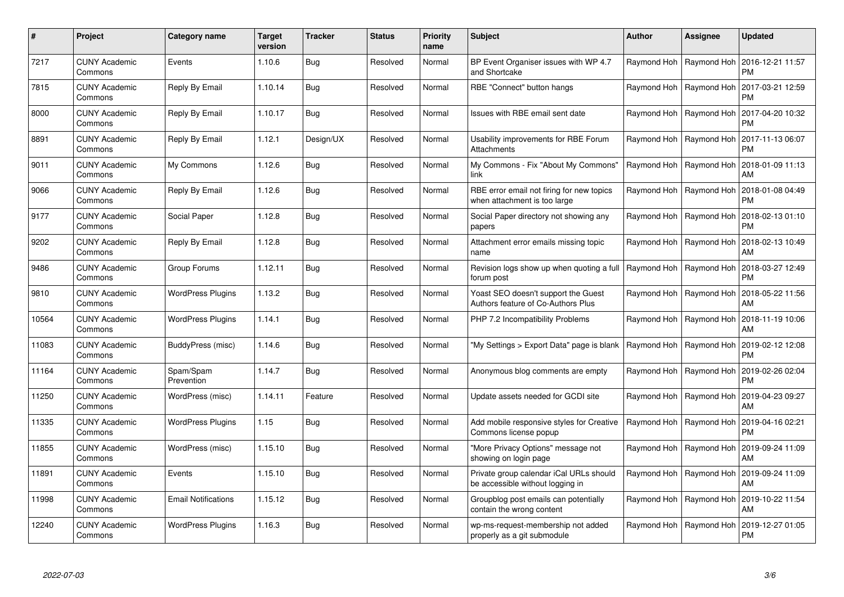| $\pmb{\#}$ | Project                         | <b>Category name</b>       | Target<br>version | <b>Tracker</b> | <b>Status</b> | <b>Priority</b><br>name | <b>Subject</b>                                                              | <b>Author</b> | <b>Assignee</b>           | <b>Updated</b>                                     |
|------------|---------------------------------|----------------------------|-------------------|----------------|---------------|-------------------------|-----------------------------------------------------------------------------|---------------|---------------------------|----------------------------------------------------|
| 7217       | <b>CUNY Academic</b><br>Commons | Events                     | 1.10.6            | <b>Bug</b>     | Resolved      | Normal                  | BP Event Organiser issues with WP 4.7<br>and Shortcake                      |               | Raymond Hoh   Raymond Hoh | 2016-12-21 11:57<br><b>PM</b>                      |
| 7815       | <b>CUNY Academic</b><br>Commons | Reply By Email             | 1.10.14           | <b>Bug</b>     | Resolved      | Normal                  | RBE "Connect" button hangs                                                  |               | Raymond Hoh   Raymond Hoh | 2017-03-21 12:59<br><b>PM</b>                      |
| 8000       | <b>CUNY Academic</b><br>Commons | Reply By Email             | 1.10.17           | <b>Bug</b>     | Resolved      | Normal                  | Issues with RBE email sent date                                             |               | Raymond Hoh   Raymond Hoh | 2017-04-20 10:32<br><b>PM</b>                      |
| 8891       | <b>CUNY Academic</b><br>Commons | Reply By Email             | 1.12.1            | Design/UX      | Resolved      | Normal                  | Usability improvements for RBE Forum<br>Attachments                         |               | Raymond Hoh   Raymond Hoh | 2017-11-13 06:07<br><b>PM</b>                      |
| 9011       | <b>CUNY Academic</b><br>Commons | My Commons                 | 1.12.6            | <b>Bug</b>     | Resolved      | Normal                  | My Commons - Fix "About My Commons"<br>link                                 |               | Raymond Hoh   Raymond Hoh | 2018-01-09 11:13<br>AM                             |
| 9066       | <b>CUNY Academic</b><br>Commons | Reply By Email             | 1.12.6            | Bug            | Resolved      | Normal                  | RBE error email not firing for new topics<br>when attachment is too large   |               | Raymond Hoh   Raymond Hoh | 2018-01-08 04:49<br><b>PM</b>                      |
| 9177       | <b>CUNY Academic</b><br>Commons | Social Paper               | 1.12.8            | <b>Bug</b>     | Resolved      | Normal                  | Social Paper directory not showing any<br>papers                            |               | Raymond Hoh   Raymond Hoh | 2018-02-13 01:10<br><b>PM</b>                      |
| 9202       | <b>CUNY Academic</b><br>Commons | Reply By Email             | 1.12.8            | <b>Bug</b>     | Resolved      | Normal                  | Attachment error emails missing topic<br>name                               |               | Raymond Hoh   Raymond Hoh | 2018-02-13 10:49<br>AM                             |
| 9486       | <b>CUNY Academic</b><br>Commons | Group Forums               | 1.12.11           | Bug            | Resolved      | Normal                  | Revision logs show up when quoting a full<br>forum post                     |               | Raymond Hoh   Raymond Hoh | 2018-03-27 12:49<br><b>PM</b>                      |
| 9810       | <b>CUNY Academic</b><br>Commons | <b>WordPress Plugins</b>   | 1.13.2            | <b>Bug</b>     | Resolved      | Normal                  | Yoast SEO doesn't support the Guest<br>Authors feature of Co-Authors Plus   |               | Raymond Hoh   Raymond Hoh | 2018-05-22 11:56<br>AM                             |
| 10564      | <b>CUNY Academic</b><br>Commons | <b>WordPress Plugins</b>   | 1.14.1            | Bug            | Resolved      | Normal                  | PHP 7.2 Incompatibility Problems                                            |               | Raymond Hoh   Raymond Hoh | 2018-11-19 10:06<br>AM                             |
| 11083      | <b>CUNY Academic</b><br>Commons | BuddyPress (misc)          | 1.14.6            | Bug            | Resolved      | Normal                  | 'My Settings > Export Data" page is blank                                   |               | Raymond Hoh   Raymond Hoh | 2019-02-12 12:08<br><b>PM</b>                      |
| 11164      | <b>CUNY Academic</b><br>Commons | Spam/Spam<br>Prevention    | 1.14.7            | Bug            | Resolved      | Normal                  | Anonymous blog comments are empty                                           |               | Raymond Hoh   Raymond Hoh | 2019-02-26 02:04<br><b>PM</b>                      |
| 11250      | <b>CUNY Academic</b><br>Commons | WordPress (misc)           | 1.14.11           | Feature        | Resolved      | Normal                  | Update assets needed for GCDI site                                          |               | Raymond Hoh   Raymond Hoh | 2019-04-23 09:27<br>AM                             |
| 11335      | <b>CUNY Academic</b><br>Commons | <b>WordPress Plugins</b>   | 1.15              | <b>Bug</b>     | Resolved      | Normal                  | Add mobile responsive styles for Creative<br>Commons license popup          |               | Raymond Hoh   Raymond Hoh | 2019-04-16 02:21<br><b>PM</b>                      |
| 11855      | <b>CUNY Academic</b><br>Commons | WordPress (misc)           | 1.15.10           | Bug            | Resolved      | Normal                  | "More Privacy Options" message not<br>showing on login page                 |               |                           | Raymond Hoh   Raymond Hoh   2019-09-24 11:09<br>AM |
| 11891      | <b>CUNY Academic</b><br>Commons | Events                     | 1.15.10           | <b>Bug</b>     | Resolved      | Normal                  | Private group calendar iCal URLs should<br>be accessible without logging in |               | Raymond Hoh   Raymond Hoh | 2019-09-24 11:09<br>AM                             |
| 11998      | <b>CUNY Academic</b><br>Commons | <b>Email Notifications</b> | 1.15.12           | Bug            | Resolved      | Normal                  | Groupblog post emails can potentially<br>contain the wrong content          |               | Raymond Hoh   Raymond Hoh | 2019-10-22 11:54<br>AM                             |
| 12240      | <b>CUNY Academic</b><br>Commons | <b>WordPress Plugins</b>   | 1.16.3            | <b>Bug</b>     | Resolved      | Normal                  | wp-ms-request-membership not added<br>properly as a git submodule           | Raymond Hoh   | Raymond Hoh               | 2019-12-27 01:05<br><b>PM</b>                      |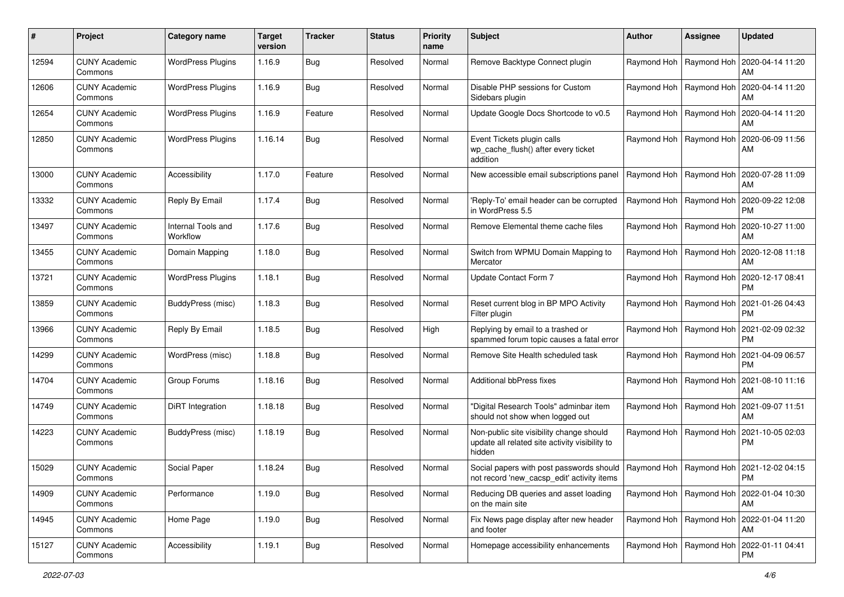| #     | Project                         | Category name                  | <b>Target</b><br>version | <b>Tracker</b> | <b>Status</b> | <b>Priority</b><br>name | Subject                                                                                                                               | <b>Author</b> | <b>Assignee</b>           | <b>Updated</b>                                            |
|-------|---------------------------------|--------------------------------|--------------------------|----------------|---------------|-------------------------|---------------------------------------------------------------------------------------------------------------------------------------|---------------|---------------------------|-----------------------------------------------------------|
| 12594 | <b>CUNY Academic</b><br>Commons | <b>WordPress Plugins</b>       | 1.16.9                   | <b>Bug</b>     | Resolved      | Normal                  | Remove Backtype Connect plugin                                                                                                        |               | Raymond Hoh   Raymond Hoh | 2020-04-14 11:20<br>AM                                    |
| 12606 | <b>CUNY Academic</b><br>Commons | <b>WordPress Plugins</b>       | 1.16.9                   | <b>Bug</b>     | Resolved      | Normal                  | Disable PHP sessions for Custom<br>Sidebars plugin                                                                                    |               | Raymond Hoh   Raymond Hoh | 2020-04-14 11:20<br>AM                                    |
| 12654 | <b>CUNY Academic</b><br>Commons | <b>WordPress Plugins</b>       | 1.16.9                   | Feature        | Resolved      | Normal                  | Update Google Docs Shortcode to v0.5                                                                                                  |               | Raymond Hoh   Raymond Hoh | 2020-04-14 11:20<br>AM                                    |
| 12850 | <b>CUNY Academic</b><br>Commons | <b>WordPress Plugins</b>       | 1.16.14                  | <b>Bug</b>     | Resolved      | Normal                  | Event Tickets plugin calls<br>wp cache flush() after every ticket<br>addition                                                         |               | Raymond Hoh   Raymond Hoh | 2020-06-09 11:56<br>AM                                    |
| 13000 | <b>CUNY Academic</b><br>Commons | Accessibility                  | 1.17.0                   | Feature        | Resolved      | Normal                  | New accessible email subscriptions panel                                                                                              |               | Raymond Hoh   Raymond Hoh | 2020-07-28 11:09<br>AM                                    |
| 13332 | <b>CUNY Academic</b><br>Commons | Reply By Email                 | 1.17.4                   | <b>Bug</b>     | Resolved      | Normal                  | 'Reply-To' email header can be corrupted<br>in WordPress 5.5                                                                          |               | Raymond Hoh   Raymond Hoh | 2020-09-22 12:08<br><b>PM</b>                             |
| 13497 | <b>CUNY Academic</b><br>Commons | Internal Tools and<br>Workflow | 1.17.6                   | <b>Bug</b>     | Resolved      | Normal                  | Remove Elemental theme cache files                                                                                                    |               | Raymond Hoh   Raymond Hoh | 2020-10-27 11:00<br>AM                                    |
| 13455 | <b>CUNY Academic</b><br>Commons | Domain Mapping                 | 1.18.0                   | <b>Bug</b>     | Resolved      | Normal                  | Switch from WPMU Domain Mapping to<br>Mercator                                                                                        |               | Raymond Hoh   Raymond Hoh | 2020-12-08 11:18<br>AM                                    |
| 13721 | <b>CUNY Academic</b><br>Commons | <b>WordPress Plugins</b>       | 1.18.1                   | <b>Bug</b>     | Resolved      | Normal                  | Update Contact Form 7                                                                                                                 |               | Raymond Hoh   Raymond Hoh | 2020-12-17 08:41<br><b>PM</b>                             |
| 13859 | <b>CUNY Academic</b><br>Commons | BuddyPress (misc)              | 1.18.3                   | <b>Bug</b>     | Resolved      | Normal                  | Reset current blog in BP MPO Activity<br>Filter plugin                                                                                |               | Raymond Hoh   Raymond Hoh | 2021-01-26 04:43<br><b>PM</b>                             |
| 13966 | <b>CUNY Academic</b><br>Commons | Reply By Email                 | 1.18.5                   | <b>Bug</b>     | Resolved      | High                    | Replying by email to a trashed or<br>spammed forum topic causes a fatal error                                                         |               | Raymond Hoh   Raymond Hoh | 2021-02-09 02:32<br><b>PM</b>                             |
| 14299 | <b>CUNY Academic</b><br>Commons | WordPress (misc)               | 1.18.8                   | <b>Bug</b>     | Resolved      | Normal                  | Remove Site Health scheduled task                                                                                                     |               | Raymond Hoh   Raymond Hoh | 2021-04-09 06:57<br><b>PM</b>                             |
| 14704 | <b>CUNY Academic</b><br>Commons | Group Forums                   | 1.18.16                  | <b>Bug</b>     | Resolved      | Normal                  | Additional bbPress fixes                                                                                                              |               | Raymond Hoh   Raymond Hoh | 2021-08-10 11:16<br>AM                                    |
| 14749 | <b>CUNY Academic</b><br>Commons | DiRT Integration               | 1.18.18                  | <b>Bug</b>     | Resolved      | Normal                  | 'Digital Research Tools" adminbar item<br>should not show when logged out                                                             |               | Raymond Hoh   Raymond Hoh | 2021-09-07 11:51<br>AM                                    |
| 14223 | <b>CUNY Academic</b><br>Commons | BuddyPress (misc)              | 1.18.19                  | <b>Bug</b>     | Resolved      | Normal                  | Non-public site visibility change should<br>update all related site activity visibility to<br>hidden                                  |               | Raymond Hoh   Raymond Hoh | 2021-10-05 02:03<br><b>PM</b>                             |
| 15029 | <b>CUNY Academic</b><br>Commons | Social Paper                   | 1.18.24                  | <b>Bug</b>     | Resolved      | Normal                  | Social papers with post passwords should   Raymond Hoh   Raymond Hoh   2021-12-02 04:15<br>not record 'new_cacsp_edit' activity items |               |                           | PM                                                        |
| 14909 | <b>CUNY Academic</b><br>Commons | Performance                    | 1.19.0                   | <b>Bug</b>     | Resolved      | Normal                  | Reducing DB queries and asset loading<br>on the main site                                                                             |               | Raymond Hoh   Raymond Hoh | 2022-01-04 10:30<br>AM                                    |
| 14945 | <b>CUNY Academic</b><br>Commons | Home Page                      | 1.19.0                   | Bug            | Resolved      | Normal                  | Fix News page display after new header<br>and footer                                                                                  |               | Raymond Hoh   Raymond Hoh | 2022-01-04 11:20<br>AM                                    |
| 15127 | <b>CUNY Academic</b><br>Commons | Accessibility                  | 1.19.1                   | Bug            | Resolved      | Normal                  | Homepage accessibility enhancements                                                                                                   |               |                           | Raymond Hoh   Raymond Hoh   2022-01-11 04:41<br><b>PM</b> |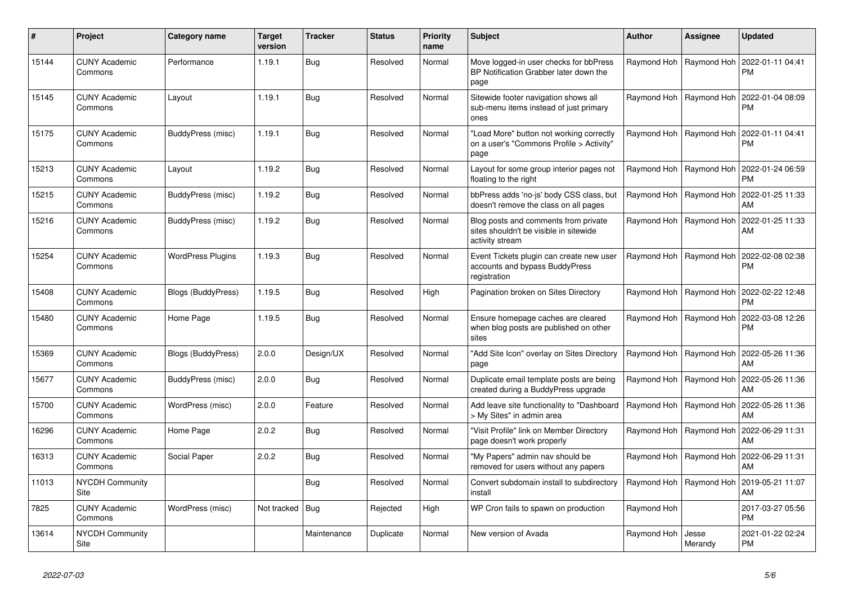| $\pmb{\sharp}$ | Project                               | Category name            | <b>Target</b><br>version | <b>Tracker</b> | <b>Status</b> | <b>Priority</b><br>name | <b>Subject</b>                                                                                    | <b>Author</b> | Assignee         | <b>Updated</b>                |
|----------------|---------------------------------------|--------------------------|--------------------------|----------------|---------------|-------------------------|---------------------------------------------------------------------------------------------------|---------------|------------------|-------------------------------|
| 15144          | <b>CUNY Academic</b><br>Commons       | Performance              | 1.19.1                   | Bug            | Resolved      | Normal                  | Move logged-in user checks for bbPress<br>BP Notification Grabber later down the<br>page          | Raymond Hoh   | Raymond Hoh      | 2022-01-11 04:41<br><b>PM</b> |
| 15145          | <b>CUNY Academic</b><br>Commons       | Layout                   | 1.19.1                   | Bug            | Resolved      | Normal                  | Sitewide footer navigation shows all<br>sub-menu items instead of just primary<br>ones            | Raymond Hoh   | Raymond Hoh      | 2022-01-04 08:09<br><b>PM</b> |
| 15175          | <b>CUNY Academic</b><br>Commons       | <b>BuddyPress (misc)</b> | 1.19.1                   | Bug            | Resolved      | Normal                  | "Load More" button not working correctly<br>on a user's "Commons Profile > Activity"<br>page      | Raymond Hoh   | Raymond Hoh      | 2022-01-11 04:41<br>PM        |
| 15213          | <b>CUNY Academic</b><br>Commons       | Layout                   | 1.19.2                   | Bug            | Resolved      | Normal                  | Layout for some group interior pages not<br>floating to the right                                 | Raymond Hoh   | Raymond Hoh      | 2022-01-24 06:59<br><b>PM</b> |
| 15215          | <b>CUNY Academic</b><br>Commons       | BuddyPress (misc)        | 1.19.2                   | <b>Bug</b>     | Resolved      | Normal                  | bbPress adds 'no-js' body CSS class, but<br>doesn't remove the class on all pages                 | Raymond Hoh   | Raymond Hoh      | 2022-01-25 11:33<br>AM        |
| 15216          | <b>CUNY Academic</b><br>Commons       | BuddyPress (misc)        | 1.19.2                   | Bug            | Resolved      | Normal                  | Blog posts and comments from private<br>sites shouldn't be visible in sitewide<br>activity stream | Raymond Hoh   | Raymond Hoh      | 2022-01-25 11:33<br>AM        |
| 15254          | <b>CUNY Academic</b><br>Commons       | <b>WordPress Plugins</b> | 1.19.3                   | Bug            | Resolved      | Normal                  | Event Tickets plugin can create new user<br>accounts and bypass BuddyPress<br>registration        | Raymond Hoh   | Raymond Hoh      | 2022-02-08 02:38<br>PM        |
| 15408          | <b>CUNY Academic</b><br>Commons       | Blogs (BuddyPress)       | 1.19.5                   | Bug            | Resolved      | High                    | Pagination broken on Sites Directory                                                              | Raymond Hoh   | Raymond Hoh      | 2022-02-22 12:48<br><b>PM</b> |
| 15480          | <b>CUNY Academic</b><br>Commons       | Home Page                | 1.19.5                   | Bug            | Resolved      | Normal                  | Ensure homepage caches are cleared<br>when blog posts are published on other<br>sites             | Raymond Hoh   | Raymond Hoh      | 2022-03-08 12:26<br>PM        |
| 15369          | <b>CUNY Academic</b><br>Commons       | Blogs (BuddyPress)       | 2.0.0                    | Design/UX      | Resolved      | Normal                  | "Add Site Icon" overlay on Sites Directory<br>page                                                | Raymond Hoh   | Raymond Hoh      | 2022-05-26 11:36<br>AM        |
| 15677          | <b>CUNY Academic</b><br>Commons       | BuddyPress (misc)        | 2.0.0                    | Bug            | Resolved      | Normal                  | Duplicate email template posts are being<br>created during a BuddyPress upgrade                   | Raymond Hoh   | Raymond Hoh      | 2022-05-26 11:36<br>AM        |
| 15700          | <b>CUNY Academic</b><br>Commons       | WordPress (misc)         | 2.0.0                    | Feature        | Resolved      | Normal                  | Add leave site functionality to "Dashboard<br>> My Sites" in admin area                           | Raymond Hoh   | Raymond Hoh      | 2022-05-26 11:36<br>AM        |
| 16296          | <b>CUNY Academic</b><br>Commons       | Home Page                | 2.0.2                    | <b>Bug</b>     | Resolved      | Normal                  | 'Visit Profile" link on Member Directory<br>page doesn't work properly                            | Raymond Hoh   | Raymond Hoh      | 2022-06-29 11:31<br>AM        |
| 16313          | <b>CUNY Academic</b><br>Commons       | Social Paper             | 2.0.2                    | Bug            | Resolved      | Normal                  | "My Papers" admin nav should be<br>removed for users without any papers                           | Raymond Hoh   | Raymond Hoh      | 2022-06-29 11:31<br>AM        |
| 11013          | <b>NYCDH Community</b><br><b>Site</b> |                          |                          | Bug            | Resolved      | Normal                  | Convert subdomain install to subdirectory<br>install                                              | Raymond Hoh   | Raymond Hoh      | 2019-05-21 11:07<br>AM        |
| 7825           | <b>CUNY Academic</b><br>Commons       | WordPress (misc)         | Not tracked   Bug        |                | Rejected      | High                    | WP Cron fails to spawn on production                                                              | Raymond Hoh   |                  | 2017-03-27 05:56<br><b>PM</b> |
| 13614          | <b>NYCDH Community</b><br>Site        |                          |                          | Maintenance    | Duplicate     | Normal                  | New version of Avada                                                                              | Raymond Hoh   | Jesse<br>Merandy | 2021-01-22 02:24<br>PM        |